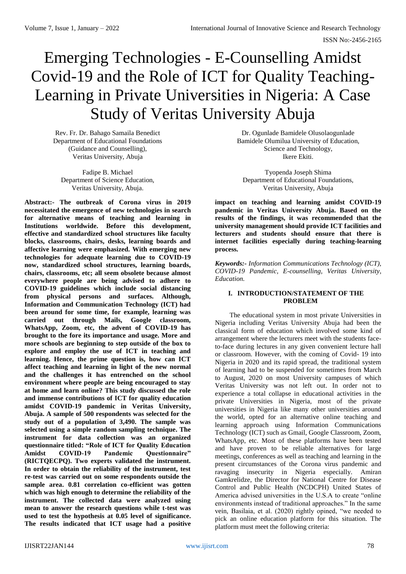# Emerging Technologies - E-Counselling Amidst Covid-19 and the Role of ICT for Quality Teaching-Learning in Private Universities in Nigeria: A Case Study of Veritas University Abuja

Rev. Fr. Dr. Bahago Samaila Benedict Department of Educational Foundations (Guidance and Counselling), Veritas University, Abuja

Fadipe B. Michael Department of Science Education, Veritas University, Abuja.

**Abstract:- The outbreak of Corona virus in 2019 necessitated the emergence of new technologies in search for alternative means of teaching and learning in Institutions worldwide. Before this development, effective and standardized school structures like faculty blocks, classrooms, chairs, desks, learning boards and affective learning were emphasized. With emerging new technologies for adequate learning due to COVID-19 now, standardized school structures, learning boards, chairs, classrooms, etc; all seem obsolete because almost everywhere people are being advised to adhere to COVID-19 guidelines which include social distancing from physical persons and surfaces. Although, Information and Communication Technology (ICT) had been around for some time, for example, learning was carried out through Mails, Google classroom, WhatsApp, Zoom, etc, the advent of COVID-19 has brought to the fore its importance and usage. More and more schools are beginning to step outside of the box to explore and employ the use of ICT in teaching and learning. Hence, the prime question is, how can ICT affect teaching and learning in light of the new normal and the challenges it has entrenched on the school environment where people are being encouraged to stay at home and learn online? This study discussed the role and immense contributions of ICT for quality education amidst COVID-19 pandemic in Veritas University, Abuja. A sample of 500 respondents was selected for the study out of a population of 3,490. The sample was selected using a simple random sampling technique. The instrument for data collection was an organized questionnaire titled: "Role of ICT for Quality Education Amidst COVID-19 Pandemic Questionnaire" (RICTQECPQ). Two experts validated the instrument. In order to obtain the reliability of the instrument, test re-test was carried out on some respondents outside the sample area. 0.81 correlation co-efficient was gotten which was high enough to determine the reliability of the instrument. The collected data were analyzed using mean to answer the research questions while t-test was used to test the hypothesis at 0.05 level of significance. The results indicated that ICT usage had a positive** 

Dr. Ogunlade Bamidele Olusolaogunlade Bamidele Olumilua University of Education, Science and Technology, Ikere Ekiti.

Tyopenda Joseph Shima Department of Educational Foundations, Veritas University, Abuja

**impact on teaching and learning amidst COVID-19 pandemic in Veritas University Abuja. Based on the results of the findings, it was recommended that the university management should provide ICT facilities and lecturers and students should ensure that there is internet facilities especially during teaching-learning process.**

*Keywords:- Information Communications Technology (ICT), COVID-19 Pandemic, E-counselling, Veritas University, Education.*

## **I. INTRODUCTION/STATEMENT OF THE PROBLEM**

The educational system in most private Universities in Nigeria including Veritas University Abuja had been the classical form of education which involved some kind of arrangement where the lecturers meet with the students faceto-face during lectures in any given convenient lecture hall or classroom. However, with the coming of Covid- 19 into Nigeria in 2020 and its rapid spread, the traditional system of learning had to be suspended for sometimes from March to August, 2020 on most University campuses of which Veritas University was not left out. In order not to experience a total collapse in educational activities in the private Universities in Nigeria, most of the private universities in Nigeria like many other universities around the world, opted for an alternative online teaching and learning approach using Information Communications Technology (ICT) such as Gmail, Google Classroom, Zoom, WhatsApp, etc. Most of these platforms have been tested and have proven to be reliable alternatives for large meetings, conferences as well as teaching and learning in the present circumstances of the Corona virus pandemic and ravaging insecurity in Nigeria especially. Amiran Gamkrelidze, the Director for National Centre for Disease Control and Public Health (NCDCPH) United States of America advised universities in the U.S.A to create "online environments instead of traditional approaches." In the same vein, Basilaia, et al. (2020) rightly opined, "we needed to pick an online education platform for this situation. The platform must meet the following criteria: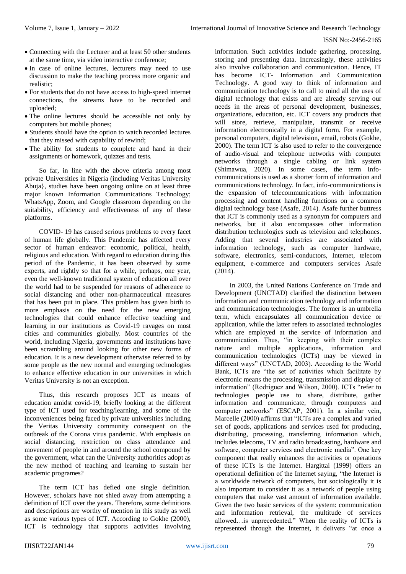- Connecting with the Lecturer and at least 50 other students at the same time, via video interactive conference;
- In case of online lectures, lecturers may need to use discussion to make the teaching process more organic and realistic;
- For students that do not have access to high-speed internet connections, the streams have to be recorded and uploaded;
- The online lectures should be accessible not only by computers but mobile phones;
- Students should have the option to watch recorded lectures that they missed with capability of rewind;
- The ability for students to complete and hand in their assignments or homework, quizzes and tests.

So far, in line with the above criteria among most private Universities in Nigeria (including Veritas University Abuja}, studies have been ongoing online on at least three major known Information Communications Technology; WhatsApp, Zoom, and Google classroom depending on the suitability, efficiency and effectiveness of any of these platforms.

COVID- 19 has caused serious problems to every facet of human life globally. This Pandemic has affected every sector of human endeavor: economic, political, health, religious and education. With regard to education during this period of the Pandemic, it has been observed by some experts, and rightly so that for a while, perhaps, one year, even the well-known traditional system of education all over the world had to be suspended for reasons of adherence to social distancing and other non-pharmaceutical measures that has been put in place. This problem has given birth to more emphasis on the need for the new emerging technologies that could enhance effective teaching and learning in our institutions as Covid-19 ravages on most cities and communities globally. Most countries of the world, including Nigeria, governments and institutions have been scrambling around looking for other new forms of education. It is a new development otherwise referred to by some people as the new normal and emerging technologies to enhance effective education in our universities in which Veritas University is not an exception.

Thus, this research proposes ICT as means of education amidst covid-19, briefly looking at the different type of ICT used for teaching/learning, and some of the inconveniences being faced by private universities including the Veritas University community consequent on the outbreak of the Corona virus pandemic. With emphasis on social distancing, restriction on class attendance and movement of people in and around the school compound by the government, what can the University authorities adopt as the new method of teaching and learning to sustain her academic programes?

The term ICT has defied one single definition. However, scholars have not shied away from attempting a definition of ICT over the years. Therefore, some definitions and descriptions are worthy of mention in this study as well as some various types of ICT. According to Gokhe (2000), ICT is technology that supports activities involving

information. Such activities include gathering, processing, storing and presenting data. Increasingly, these activities also involve collaboration and communication. Hence, IT has become ICT- Information and Communication Technology. A good way to think of information and communication technology is to call to mind all the uses of digital technology that exists and are already serving our needs in the areas of personal development, businesses, organizations, education, etc. ICT covers any products that will store, retrieve, manipulate, transmit or receive information electronically in a digital form. For example, personal computers, digital television, email, robots (Gokhe, 2000). The term ICT is also used to refer to the convergence of audio-visual and telephone networks with computer networks through a single cabling or link system (Shimawua, 2020). In some cases, the term Infocommunications is used as a shorter form of information and communications technology. In fact, info-communications is the expansion of telecommunications with information processing and content handling functions on a common digital technology base (Asafe, 2014). Asafe further buttress that ICT is commonly used as a synonym for computers and networks, but it also encompasses other information distribution technologies such as television and telephones. Adding that several industries are associated with information technology, such as computer hardware, software, electronics, semi-conductors, Internet, telecom equipment, e-commerce and computers services Asafe (2014).

In 2003, the United Nations Conference on Trade and Development (UNCTAD) clarified the distinction between information and communication technology and information and communication technologies. The former is an umbrella term, which encapsulates all communication device or application, while the latter refers to associated technologies which are employed at the service of information and communication. Thus, "in keeping with their complex nature and multiple applications, information and communication technologies (ICTs) may be viewed in different ways" (UNCTAD, 2003). According to the World Bank, ICTs are "the set of activities which facilitate by electronic means the processing, transmission and display of information" (Rodriguez and Wilson, 2000). ICTs "refer to technologies people use to share, distribute, gather information and communicate, through computers and computer networks" (ESCAP, 2001). In a similar vein, Marcelle (2000) affirms that "ICTs are a complex and varied set of goods, applications and services used for producing, distributing, processing, transferring information which, includes telecoms, TV and radio broadcasting, hardware and software, computer services and electronic media". One key component that really enhances the activities or operations of these ICTs is the Internet. Hargittai (1999) offers an operational definition of the Internet saying, "the Internet is a worldwide network of computers, but sociologically it is also important to consider it as a network of people using computers that make vast amount of information available. Given the two basic services of the system: communication and information retrieval, the multitude of services allowed…is unprecedented." When the reality of ICTs is represented through the Internet, it delivers "at once a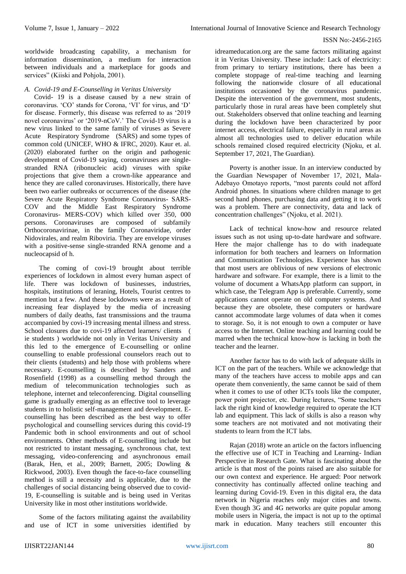worldwide broadcasting capability, a mechanism for information dissemination, a medium for interaction between individuals and a marketplace for goods and services" (Kiiski and Pohjola, 2001).

*A. Covid-19 and E-Counselling in Veritas University*

Covid- 19 is a disease caused by a new strain of coronavirus. 'CO' stands for Corona, 'VI' for virus, and 'D' for disease. Formerly, this disease was referred to as '2019 novel coronavirus' or '2019-nCoV.' The Covid-19 virus is a new virus linked to the same family of viruses as Severe Acute Respiratory Syndrome (SARS) and some types of common cold (UNICEF, WHO & IFRC, 2020). Kaur et. al. (2020) elaborated further on the origin and pathogenic development of Covid-19 saying, coronaviruses are singlestranded RNA (ribonucleic acid) viruses with spike projections that give them a crown-like appearance and hence they are called coronaviruses. Historically, there have been two earlier outbreaks or occurrences of the disease (the Severe Acute Respiratory Syndrome Coronavirus- SARS-COV and the Middle East Respiratory Syndrome Coronavirus- MERS-COV) which killed over 350, 000 persons. Coronaviruses are composed of subfamily Orthocoronavirinae, in the family Coronaviridae, order Nidovirales, and realm Riboviria. They are envelope viruses with a positive-sense single-stranded RNA genome and a nucleocapsid of h.

The coming of covi-19 brought about terrible experiences of lockdown in almost every human aspect of life. There was lockdown of businesses, industries, hospitals, institutions of leraning, Hotels, Tourist centres to mention but a few. And these lockdowns were as a result of increasing fear displayed by the media of increasing numbers of daily deaths, fast transmissions and the trauma accompanied by covi-19 increasing mental illness and stress. School closures due to covi-19 affected learners/ clients ( ie students ) worldwide not only in Veritas University and this led to the emergence of E-counselling or online counselling to enable professional counselors reach out to their clients (students) and help those with problems where necessary. E-counselling is described by Sanders and Rosenfield (1998) as a counselling method through the medium of telecommunication technologies such as telephone, internet and teleconferencing. Digital counselling game is gradually emerging as an effective tool to leverage students in to holistic self-management and development. Ecounselling has been described as the best way to offer psychological and counselling services during this covid-19 Pandemic both in school environments and out of school environments. Other methods of E-counselling include but not restricted to instant messaging, synchronous chat, text messaging, video-conferencing and asynchronous email (Barak, Hen, et al., 2009; Barnett, 2005; Dowling & Rickwood, 2003). Even though the face-to-face counselling method is still a necessity and is applicable, due to the challenges of social distancing being observed due to covid-19, E-counselling is suitable and is being used in Veritas University like in most other institutions worldwide.

Some of the factors militating against the availability and use of ICT in some universities identified by

idreameducation.org are the same factors militating against it in Veritas University. These include: Lack of electricity: from primary to tertiary institutions, there has been a complete stoppage of real-time teaching and learning following the nationwide closure of all educational institutions occasioned by the coronavirus pandemic. Despite the intervention of the government, most students, particularly those in rural areas have been completely shut out. Stakeholders observed that online teaching and learning during the lockdown have been characterized by poor internet access, electrical failure, especially in rural areas as almost all technologies used to deliver education while schools remained closed required electricity (Njoku, et al. September 17, 2021, The Guardian).

Poverty is another issue. In an interview conducted by the Guardian Newspaper of November 17, 2021, Mala-Adebayo Omotayo reports, "most parents could not afford Android phones. In situations where children manage to get second hand phones, purchasing data and getting it to work was a problem. There are connectivity, data and lack of concentration challenges" (Njoku, et al. 2021).

Lack of technical know-how and resource related issues such as not using up-to-date hardware and software. Here the major challenge has to do with inadequate information for both teachers and learners on Information and Communication Technologies. Experience has shown that most users are oblivious of new versions of electronic hardware and software. For example, there is a limit to the volume of document a WhatsApp platform can support, in which case, the Telegram App is preferable. Currently, some applications cannot operate on old computer systems. And because they are obsolete, these computers or hardware cannot accommodate large volumes of data when it comes to storage. So, it is not enough to own a computer or have access to the Internet. Online teaching and learning could be marred when the technical know-how is lacking in both the teacher and the learner.

Another factor has to do with lack of adequate skills in ICT on the part of the teachers. While we acknowledge that many of the teachers have access to mobile apps and can operate them conveniently, the same cannot be said of them when it comes to use of other ICTs tools like the computer, power point projector, etc. During lectures, "Some teachers lack the right kind of knowledge required to operate the ICT lab and equipment. This lack of skills is also a reason why some teachers are not motivated and not motivating their students to learn from the ICT labs.

Rajan (2018) wrote an article on the factors influencing the effective use of ICT in Teaching and Learning- Indian Perspective in Research Gate. What is fascinating about the article is that most of the points raised are also suitable for our own context and experience. He argued: Poor network connectivity has continually affected online teaching and learning during Covid-19. Even in this digital era, the data network in Nigeria reaches only major cities and towns. Even though 3G and 4G networks are quite popular among mobile users in Nigeria, the impact is not up to the optimal mark in education. Many teachers still encounter this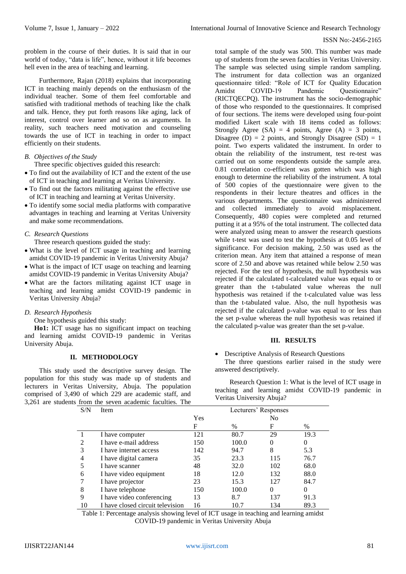problem in the course of their duties. It is said that in our world of today, "data is life", hence, without it life becomes hell even in the area of teaching and learning.

Furthermore, Rajan (2018) explains that incorporating ICT in teaching mainly depends on the enthusiasm of the individual teacher. Some of them feel comfortable and satisfied with traditional methods of teaching like the chalk and talk. Hence, they put forth reasons like aging, lack of interest, control over learner and so on as arguments. In reality, such teachers need motivation and counseling towards the use of ICT in teaching in order to impact efficiently on their students.

## *B. Objectives of the Study*

Three specific objectives guided this research:

- To find out the availability of ICT and the extent of the use of ICT in teaching and learning at Veritas University.
- To find out the factors militating against the effective use of ICT in teaching and learning at Veritas University.
- To identify some social media platforms with comparative advantages in teaching and learning at Veritas University and make some recommendations.

## *C. Research Questions*

Three research questions guided the study:

- What is the level of ICT usage in teaching and learning amidst COVID-19 pandemic in Veritas University Abuja?
- What is the impact of ICT usage on teaching and learning amidst COVID-19 pandemic in Veritas University Abuja?
- What are the factors militating against ICT usage in teaching and learning amidst COVID-19 pandemic in Veritas University Abuja?

## *D. Research Hypothesis*

One hypothesis guided this study:

**Ho1:** ICT usage has no significant impact on teaching and learning amidst COVID-19 pandemic in Veritas University Abuja.

## **II. METHODOLOGY**

This study used the descriptive survey design. The population for this study was made up of students and lecturers in Veritas University, Abuja. The population comprised of 3,490 of which 229 are academic staff, and 3,261 are students from the seven academic faculties. The

total sample of the study was 500. This number was made up of students from the seven faculties in Veritas University. The sample was selected using simple random sampling. The instrument for data collection was an organized questionnaire titled: "Role of ICT for Quality Education Amidst COVID-19 Pandemic Ouestionnaire" (RICTQECPQ). The instrument has the socio-demographic of those who responded to the questionnaires. It comprised of four sections. The items were developed using four-point modified Likert scale with 18 items coded as follows: Strongly Agree  $(SA) = 4$  points, Agree  $(A) = 3$  points, Disagree (D) = 2 points, and Strongly Disagree (SD) = 1 point. Two experts validated the instrument. In order to obtain the reliability of the instrument, test re-test was carried out on some respondents outside the sample area. 0.81 correlation co-efficient was gotten which was high enough to determine the reliability of the instrument. A total of 500 copies of the questionnaire were given to the respondents in their lecture theatres and offices in the various departments. The questionnaire was administered and collected immediately to avoid misplacement. Consequently, 480 copies were completed and returned putting it at a 95% of the total instrument. The collected data were analyzed using mean to answer the research questions while t-test was used to test the hypothesis at 0.05 level of significance. For decision making, 2.50 was used as the criterion mean. Any item that attained a response of mean score of 2.50 and above was retained while below 2.50 was rejected. For the test of hypothesis, the null hypothesis was rejected if the calculated t-calculated value was equal to or greater than the t-tabulated value whereas the null hypothesis was retained if the t-calculated value was less than the t-tabulated value. Also, the null hypothesis was rejected if the calculated p-value was equal to or less than the set p-value whereas the null hypothesis was retained if the calculated p-value was greater than the set p-value.

## **III. RESULTS**

Descriptive Analysis of Research Questions

The three questions earlier raised in the study were answered descriptively.

Research Question 1: What is the level of ICT usage in teaching and learning amidst COVID-19 pandemic in Veritas University Abuja?

| S/N                         | Item                             | Lecturers' Responses |       |     |      |  |  |  |  |
|-----------------------------|----------------------------------|----------------------|-------|-----|------|--|--|--|--|
|                             |                                  | Yes                  |       |     | No   |  |  |  |  |
|                             |                                  | F                    | $\%$  | F   | $\%$ |  |  |  |  |
|                             | I have computer                  | 121                  | 80.7  | 29  | 19.3 |  |  |  |  |
| $\mathcal{D}_{\mathcal{L}}$ | I have e-mail address            | 150                  | 100.0 | 0   | 0    |  |  |  |  |
| 3                           | I have internet access           | 142                  | 94.7  | 8   | 5.3  |  |  |  |  |
| 4                           | I have digital camera            | 35                   | 23.3  | 115 | 76.7 |  |  |  |  |
|                             | I have scanner                   | 48                   | 32.0  | 102 | 68.0 |  |  |  |  |
| 6                           | I have video equipment           | 18                   | 12.0  | 132 | 88.0 |  |  |  |  |
|                             | I have projector                 | 23                   | 15.3  | 127 | 84.7 |  |  |  |  |
| 8                           | I have telephone                 | 150                  | 100.0 | 0   | 0    |  |  |  |  |
| 9                           | I have video conferencing        | 13                   | 8.7   | 137 | 91.3 |  |  |  |  |
| 10                          | I have closed circuit television | 16                   | 10.7  | 134 | 89.3 |  |  |  |  |

Table 1: Percentage analysis showing level of ICT usage in teaching and learning amidst COVID-19 pandemic in Veritas University Abuja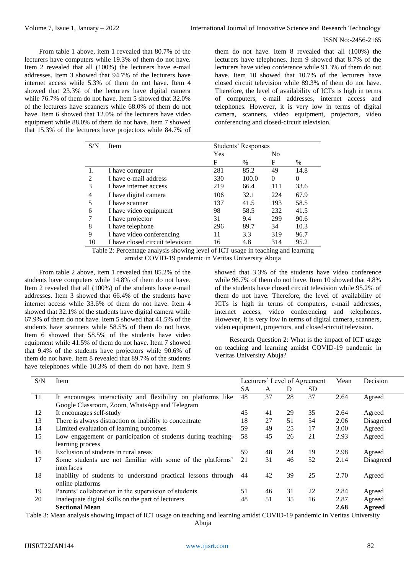From table 1 above, item 1 revealed that 80.7% of the lecturers have computers while 19.3% of them do not have. Item 2 revealed that all (100%) the lecturers have e-mail addresses. Item 3 showed that 94.7% of the lecturers have internet access while 5.3% of them do not have. Item 4 showed that 23.3% of the lecturers have digital camera while 76.7% of them do not have. Item 5 showed that 32.0% of the lecturers have scanners while 68.0% of them do not have. Item 6 showed that 12.0% of the lecturers have video equipment while 88.0% of them do not have. Item 7 showed that 15.3% of the lecturers have projectors while 84.7% of

them do not have. Item 8 revealed that all (100%) the lecturers have telephones. Item 9 showed that 8.7% of the lecturers have video conference while 91.3% of them do not have. Item 10 showed that 10.7% of the lecturers have closed circuit television while 89.3% of them do not have. Therefore, the level of availability of ICTs is high in terms of computers, e-mail addresses, internet access and telephones. However, it is very low in terms of digital camera, scanners, video equipment, projectors, video conferencing and closed-circuit television.

| S/N | Item                             | Students' Responses |       |                |      |  |
|-----|----------------------------------|---------------------|-------|----------------|------|--|
|     |                                  | Yes                 |       | N <sub>0</sub> |      |  |
|     |                                  | F                   | $\%$  | F              | $\%$ |  |
|     | I have computer                  | 281                 | 85.2  | 49             | 14.8 |  |
| 2   | I have e-mail address            | 330                 | 100.0 | $\Omega$       | 0    |  |
| 3   | I have internet access           | 219                 | 66.4  | 111            | 33.6 |  |
| 4   | I have digital camera            | 106                 | 32.1  | 224            | 67.9 |  |
| 5   | I have scanner                   | 137                 | 41.5  | 193            | 58.5 |  |
| 6   | I have video equipment           | 98                  | 58.5  | 232            | 41.5 |  |
| 7   | I have projector                 | 31                  | 9.4   | 299            | 90.6 |  |
| 8   | I have telephone                 | 296                 | 89.7  | 34             | 10.3 |  |
| 9   | I have video conferencing        | 11                  | 3.3   | 319            | 96.7 |  |
| 10  | I have closed circuit television | 16                  | 4.8   | 314            | 95.2 |  |
|     | <b>THIAN 1'1'1'</b>              | $c \tau \sim$       |       | $\cdot$        | 11   |  |

Table 2: Percentage analysis showing level of ICT usage in teaching and learning amidst COVID-19 pandemic in Veritas University Abuja

From table 2 above, item 1 revealed that 85.2% of the students have computers while 14.8% of them do not have. Item 2 revealed that all (100%) of the students have e-mail addresses. Item 3 showed that 66.4% of the students have internet access while 33.6% of them do not have. Item 4 showed that 32.1% of the students have digital camera while 67.9% of them do not have. Item 5 showed that 41.5% of the students have scanners while 58.5% of them do not have. Item 6 showed that 58.5% of the students have video equipment while 41.5% of them do not have. Item 7 showed that 9.4% of the students have projectors while 90.6% of them do not have. Item 8 revealed that 89.7% of the students have telephones while 10.3% of them do not have. Item 9

showed that 3.3% of the students have video conference while 96.7% of them do not have. Item 10 showed that 4.8% of the students have closed circuit television while 95.2% of them do not have. Therefore, the level of availability of ICTs is high in terms of computers, e-mail addresses, internet access, video conferencing and telephones. However, it is very low in terms of digital camera, scanners, video equipment, projectors, and closed-circuit television.

Research Question 2: What is the impact of ICT usage on teaching and learning amidst COVID-19 pandemic in Veritas University Abuja?

| S/N | Item                                                          | Lecturers' Level of Agreement |    |    |    | Mean | Decision  |
|-----|---------------------------------------------------------------|-------------------------------|----|----|----|------|-----------|
|     |                                                               | <b>SA</b>                     | A  | D  | SD |      |           |
| 11  | It encourages interactivity and flexibility on platforms like | 48                            | 37 | 28 | 37 | 2.64 | Agreed    |
|     | Google Classroom, Zoom, WhatsApp and Telegram                 |                               |    |    |    |      |           |
| 12  | It encourages self-study                                      | 45                            | 41 | 29 | 35 | 2.64 | Agreed    |
| 13  | There is always distraction or inability to concentrate       | 18                            | 27 | 51 | 54 | 2.06 | Disagreed |
| 14  | Limited evaluation of learning outcomes                       | 59                            | 49 | 25 | 17 | 3.00 | Agreed    |
| 15  | Low engagement or participation of students during teaching-  | 58                            | 45 | 26 | 21 | 2.93 | Agreed    |
|     | learning process                                              |                               |    |    |    |      |           |
| 16  | Exclusion of students in rural areas                          | 59                            | 48 | 24 | 19 | 2.98 | Agreed    |
| 17  | Some students are not familiar with some of the platforms'    | 21                            | 31 | 46 | 52 | 2.14 | Disagreed |
|     | interfaces                                                    |                               |    |    |    |      |           |
| 18  | Inability of students to understand practical lessons through | 44                            | 42 | 39 | 25 | 2.70 | Agreed    |
|     | online platforms                                              |                               |    |    |    |      |           |
| 19  | Parents' collaboration in the supervision of students         | 51                            | 46 | 31 | 22 | 2.84 | Agreed    |
| 20  | Inadequate digital skills on the part of lecturers            | 48                            | 51 | 35 | 16 | 2.87 | Agreed    |
|     | <b>Sectional Mean</b>                                         |                               |    |    |    | 2.68 | Agreed    |

Table 3: Mean analysis showing impact of ICT usage on teaching and learning amidst COVID-19 pandemic in Veritas University

Abuja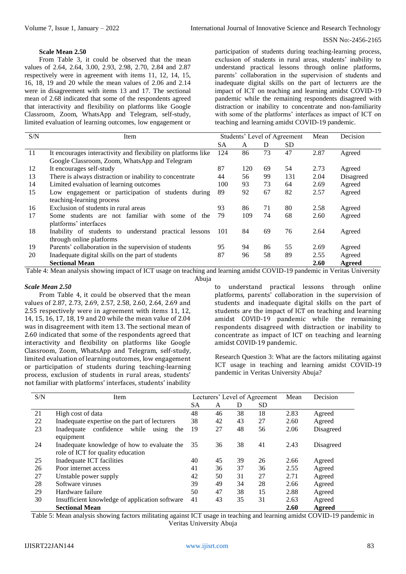## **Scale Mean 2.50**

From Table 3, it could be observed that the mean values of 2.64, 2.64, 3.00, 2.93, 2.98, 2.70, 2.84 and 2.87 respectively were in agreement with items 11, 12, 14, 15, 16, 18, 19 and 20 while the mean values of 2.06 and 2.14 were in disagreement with items 13 and 17. The sectional mean of 2.68 indicated that some of the respondents agreed that interactivity and flexibility on platforms like Google Classroom, Zoom, WhatsApp and Telegram, self-study, limited evaluation of learning outcomes, low engagement or

participation of students during teaching-learning process, exclusion of students in rural areas, students' inability to understand practical lessons through online platforms, parents' collaboration in the supervision of students and inadequate digital skills on the part of lecturers are the impact of ICT on teaching and learning amidst COVID-19 pandemic while the remaining respondents disagreed with distraction or inability to concentrate and non-familiarity with some of the platforms' interfaces as impact of ICT on teaching and learning amidst COVID-19 pandemic.

| S/N | Item                                                          |     | Students' Level of Agreement |    |           | Mean | Decision  |
|-----|---------------------------------------------------------------|-----|------------------------------|----|-----------|------|-----------|
|     |                                                               | SА  | A                            | D  | <b>SD</b> |      |           |
| 11  | It encourages interactivity and flexibility on platforms like | 124 | 86                           | 73 | 47        | 2.87 | Agreed    |
|     | Google Classroom, Zoom, WhatsApp and Telegram                 |     |                              |    |           |      |           |
| 12  | It encourages self-study                                      | 87  | 120                          | 69 | 54        | 2.73 | Agreed    |
| 13  | There is always distraction or inability to concentrate       | 44  | 56                           | 99 | 131       | 2.04 | Disagreed |
| 14  | Limited evaluation of learning outcomes                       | 100 | 93                           | 73 | 64        | 2.69 | Agreed    |
| 15  | Low engagement or participation of students during            | 89  | 92                           | 67 | 82        | 2.57 | Agreed    |
|     | teaching-learning process                                     |     |                              |    |           |      |           |
| 16  | Exclusion of students in rural areas                          | 93  | 86                           | 71 | 80        | 2.58 | Agreed    |
| 17  | Some students are not familiar<br>with some of<br>the         | 79  | 109                          | 74 | 68        | 2.60 | Agreed    |
|     | platforms' interfaces                                         |     |                              |    |           |      |           |
| 18  | Inability of students to understand practical lessons         | 101 | 84                           | 69 | 76        | 2.64 | Agreed    |
|     | through online platforms                                      |     |                              |    |           |      |           |
| 19  | Parents' collaboration in the supervision of students         | 95  | 94                           | 86 | 55        | 2.69 | Agreed    |
| 20  | Inadequate digital skills on the part of students             | 87  | 96                           | 58 | 89        | 2.55 | Agreed    |
|     | <b>Sectional Mean</b>                                         |     |                              |    |           | 2.60 | Agreed    |

Table 4: Mean analysis showing impact of ICT usage on teaching and learning amidst COVID-19 pandemic in Veritas University Abuja

### *Scale Mean 2.50*

From Table 4, it could be observed that the mean values of 2.87, 2.73, 2.69, 2.57, 2.58, 2.60, 2.64, 2.69 and 2.55 respectively were in agreement with items 11, 12, 14, 15, 16, 17, 18, 19 and 20 while the mean value of 2.04 was in disagreement with item 13. The sectional mean of 2.60 indicated that some of the respondents agreed that interactivity and flexibility on platforms like Google Classroom, Zoom, WhatsApp and Telegram, self-study, limited evaluation of learning outcomes, low engagement or participation of students during teaching-learning process, exclusion of students in rural areas, students' not familiar with platforms' interfaces, students' inability

to understand practical lessons through online platforms, parents' collaboration in the supervision of students and inadequate digital skills on the part of students are the impact of ICT on teaching and learning amidst COVID-19 pandemic while the remaining respondents disagreed with distraction or inability to concentrate as impact of ICT on teaching and learning amidst COVID-19 pandemic.

Research Question 3: What are the factors militating against ICT usage in teaching and learning amidst COVID-19 pandemic in Veritas University Abuja?

| S/N | Item                                                                             |           | Lecturers' Level of Agreement |    |           | Mean | Decision  |
|-----|----------------------------------------------------------------------------------|-----------|-------------------------------|----|-----------|------|-----------|
|     |                                                                                  | <b>SA</b> | A                             | D  | <b>SD</b> |      |           |
| 21  | High cost of data                                                                | 48        | 46                            | 38 | 18        | 2.83 | Agreed    |
| 22  | Inadequate expertise on the part of lecturers                                    | 38        | 42                            | 43 | 27        | 2.60 | Agreed    |
| 23  | confidence<br>while<br>Inadequate<br>using<br>the<br>equipment                   | 19        | 27                            | 48 | 56        | 2.06 | Disagreed |
| 24  | Inadequate knowledge of how to evaluate the<br>role of ICT for quality education | 35        | 36                            | 38 | 41        | 2.43 | Disagreed |
| 25  | Inadequate ICT facilities                                                        | 40        | 45                            | 39 | 26        | 2.66 | Agreed    |
| 26  | Poor internet access                                                             | 41        | 36                            | 37 | 36        | 2.55 | Agreed    |
| 27  | Unstable power supply                                                            | 42        | 50                            | 31 | 27        | 2.71 | Agreed    |
| 28  | Software viruses                                                                 | 39        | 49                            | 34 | 28        | 2.66 | Agreed    |
| 29  | Hardware failure                                                                 | 50        | 47                            | 38 | 15        | 2.88 | Agreed    |
| 30  | Insufficient knowledge of application software                                   | 41        | 43                            | 35 | 31        | 2.63 | Agreed    |
|     | <b>Sectional Mean</b>                                                            |           |                               |    |           | 2.60 | Agreed    |

Table 5: Mean analysis showing factors militating against ICT usage in teaching and learning amidst COVID-19 pandemic in Veritas University Abuja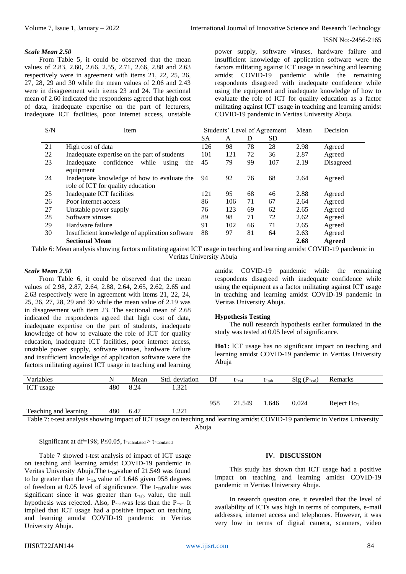## *Scale Mean 2.50*

From Table 5, it could be observed that the mean values of 2.83, 2.60, 2.66, 2.55, 2.71, 2.66, 2.88 and 2.63 respectively were in agreement with items 21, 22, 25, 26, 27, 28, 29 and 30 while the mean values of 2.06 and 2.43 were in disagreement with items 23 and 24. The sectional mean of 2.60 indicated the respondents agreed that high cost of data, inadequate expertise on the part of lecturers, inadequate ICT facilities, poor internet access, unstable

power supply, software viruses, hardware failure and insufficient knowledge of application software were the factors militating against ICT usage in teaching and learning amidst COVID-19 pandemic while the remaining respondents disagreed with inadequate confidence while using the equipment and inadequate knowledge of how to evaluate the role of ICT for quality education as a factor militating against ICT usage in teaching and learning amidst COVID-19 pandemic in Veritas University Abuja.

| S/N | Item                                              |           | Students' Level of Agreement |    |           |      | Decision  |
|-----|---------------------------------------------------|-----------|------------------------------|----|-----------|------|-----------|
|     |                                                   | <b>SA</b> | A                            | D  | <b>SD</b> |      |           |
| 21  | High cost of data                                 | 126       | 98                           | 78 | 28        | 2.98 | Agreed    |
| 22  | Inadequate expertise on the part of students      | 101       | 121                          | 72 | 36        | 2.87 | Agreed    |
| 23  | confidence<br>while<br>Inadequate<br>using<br>the | 45        | 79                           | 99 | 107       | 2.19 | Disagreed |
|     | equipment                                         |           |                              |    |           |      |           |
| 24  | Inadequate knowledge of how to evaluate the       | 94        | 92                           | 76 | 68        | 2.64 | Agreed    |
|     | role of ICT for quality education                 |           |                              |    |           |      |           |
| 25  | Inadequate ICT facilities                         | 121       | 95                           | 68 | 46        | 2.88 | Agreed    |
| 26  | Poor internet access                              | 86        | 106                          | 71 | 67        | 2.64 | Agreed    |
| 27  | Unstable power supply                             | 76        | 123                          | 69 | 62        | 2.65 | Agreed    |
| 28  | Software viruses                                  |           | 98                           | 71 | 72        | 2.62 | Agreed    |
| 29  | Hardware failure                                  | 91        | 102                          | 66 | 71        | 2.65 | Agreed    |
| 30  | Insufficient knowledge of application software    | 88        | 97                           | 81 | 64        | 2.63 | Agreed    |
|     | <b>Sectional Mean</b>                             |           |                              |    |           | 2.68 | Agreed    |

Table 6: Mean analysis showing factors militating against ICT usage in teaching and learning amidst COVID-19 pandemic in Veritas University Abuja

#### *Scale Mean 2.50*

From Table 6, it could be observed that the mean values of 2.98, 2.87, 2.64, 2.88, 2.64, 2.65, 2.62, 2.65 and 2.63 respectively were in agreement with items 21, 22, 24, 25, 26, 27, 28, 29 and 30 while the mean value of 2.19 was in disagreement with item 23. The sectional mean of 2.68 indicated the respondents agreed that high cost of data, inadequate expertise on the part of students, inadequate knowledge of how to evaluate the role of ICT for quality education, inadequate ICT facilities, poor internet access, unstable power supply, software viruses, hardware failure and insufficient knowledge of application software were the factors militating against ICT usage in teaching and learning

amidst COVID-19 pandemic while the remaining respondents disagreed with inadequate confidence while using the equipment as a factor militating against ICT usage in teaching and learning amidst COVID-19 pandemic in Veritas University Abuja.

#### **Hypothesis Testing**

The null research hypothesis earlier formulated in the study was tested at 0.05 level of significance.

**Ho1:** ICT usage has no significant impact on teaching and learning amidst COVID-19 pandemic in Veritas University Abuja

| Variables             | N   | Mean | Std. deviation | Df  | t- <sub>cal</sub> | t- <sub>tab</sub> | $Sig(P_{cal})$ | Remarks       |  |
|-----------------------|-----|------|----------------|-----|-------------------|-------------------|----------------|---------------|--|
| ICT usage             | 480 | 8.24 | .321           |     |                   |                   |                |               |  |
|                       |     |      |                |     |                   |                   |                |               |  |
|                       |     |      |                | 958 | 21.549            | 1.646             | 0.024          | Reject $Ho_1$ |  |
| Teaching and learning | 480 | 6.47 | .221           |     |                   |                   |                |               |  |

Table 7: t-test analysis showing impact of ICT usage on teaching and learning amidst COVID-19 pandemic in Veritas University Abuja

#### Significant at df=198; P $\leq$ 0.05, t-calculated > t-tabulated

Table 7 showed t-test analysis of impact of ICT usage on teaching and learning amidst COVID-19 pandemic in Veritas University Abuja.The t-calvalue of 21.549 was found to be greater than the  $t$ -tab value of 1.646 given 958 degrees of freedom at 0.05 level of significance. The t-calvalue was significant since it was greater than t-tab value, the null hypothesis was rejected. Also, P-calwas less than the P-set. It implied that ICT usage had a positive impact on teaching and learning amidst COVID-19 pandemic in Veritas University Abuja.

#### **IV. DISCUSSION**

This study has shown that ICT usage had a positive impact on teaching and learning amidst COVID-19 pandemic in Veritas University Abuja.

In research question one, it revealed that the level of availability of ICTs was high in terms of computers, e-mail addresses, internet access and telephones. However, it was very low in terms of digital camera, scanners, video